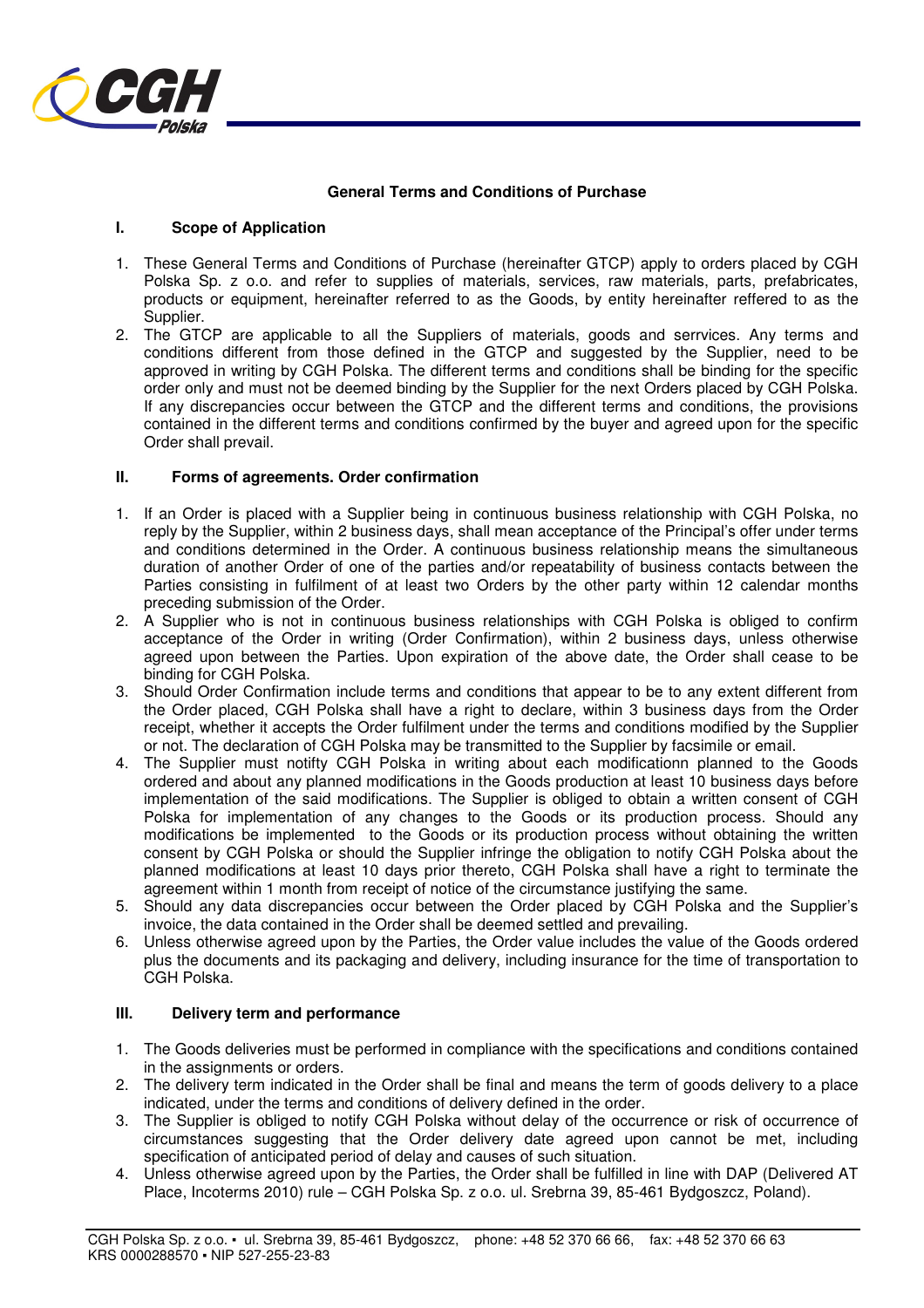

## **General Terms and Conditions of Purchase**

### **I. Scope of Application**

- 1. These General Terms and Conditions of Purchase (hereinafter GTCP) apply to orders placed by CGH Polska Sp. z o.o. and refer to supplies of materials, services, raw materials, parts, prefabricates, products or equipment, hereinafter referred to as the Goods, by entity hereinafter reffered to as the Supplier.
- 2. The GTCP are applicable to all the Suppliers of materials, goods and serrvices. Any terms and conditions different from those defined in the GTCP and suggested by the Supplier, need to be approved in writing by CGH Polska. The different terms and conditions shall be binding for the specific order only and must not be deemed binding by the Supplier for the next Orders placed by CGH Polska. If any discrepancies occur between the GTCP and the different terms and conditions, the provisions contained in the different terms and conditions confirmed by the buyer and agreed upon for the specific Order shall prevail.

### **II. Forms of agreements. Order confirmation**

- 1. If an Order is placed with a Supplier being in continuous business relationship with CGH Polska, no reply by the Supplier, within 2 business days, shall mean acceptance of the Principal's offer under terms and conditions determined in the Order. A continuous business relationship means the simultaneous duration of another Order of one of the parties and/or repeatability of business contacts between the Parties consisting in fulfilment of at least two Orders by the other party within 12 calendar months preceding submission of the Order.
- 2. A Supplier who is not in continuous business relationships with CGH Polska is obliged to confirm acceptance of the Order in writing (Order Confirmation), within 2 business days, unless otherwise agreed upon between the Parties. Upon expiration of the above date, the Order shall cease to be binding for CGH Polska.
- 3. Should Order Confirmation include terms and conditions that appear to be to any extent different from the Order placed, CGH Polska shall have a right to declare, within 3 business days from the Order receipt, whether it accepts the Order fulfilment under the terms and conditions modified by the Supplier or not. The declaration of CGH Polska may be transmitted to the Supplier by facsimile or email.
- 4. The Supplier must notifty CGH Polska in writing about each modificationn planned to the Goods ordered and about any planned modifications in the Goods production at least 10 business days before implementation of the said modifications. The Supplier is obliged to obtain a written consent of CGH Polska for implementation of any changes to the Goods or its production process. Should any modifications be implemented to the Goods or its production process without obtaining the written consent by CGH Polska or should the Supplier infringe the obligation to notify CGH Polska about the planned modifications at least 10 days prior thereto, CGH Polska shall have a right to terminate the agreement within 1 month from receipt of notice of the circumstance justifying the same.
- 5. Should any data discrepancies occur between the Order placed by CGH Polska and the Supplier's invoice, the data contained in the Order shall be deemed settled and prevailing.
- 6. Unless otherwise agreed upon by the Parties, the Order value includes the value of the Goods ordered plus the documents and its packaging and delivery, including insurance for the time of transportation to CGH Polska.

# **III. Delivery term and performance**

- 1. The Goods deliveries must be performed in compliance with the specifications and conditions contained in the assignments or orders.
- 2. The delivery term indicated in the Order shall be final and means the term of goods delivery to a place indicated, under the terms and conditions of delivery defined in the order.
- 3. The Supplier is obliged to notify CGH Polska without delay of the occurrence or risk of occurrence of circumstances suggesting that the Order delivery date agreed upon cannot be met, including specification of anticipated period of delay and causes of such situation.
- 4. Unless otherwise agreed upon by the Parties, the Order shall be fulfilled in line with DAP (Delivered AT Place, Incoterms 2010) rule – CGH Polska Sp. z o.o. ul. Srebrna 39, 85-461 Bydgoszcz, Poland).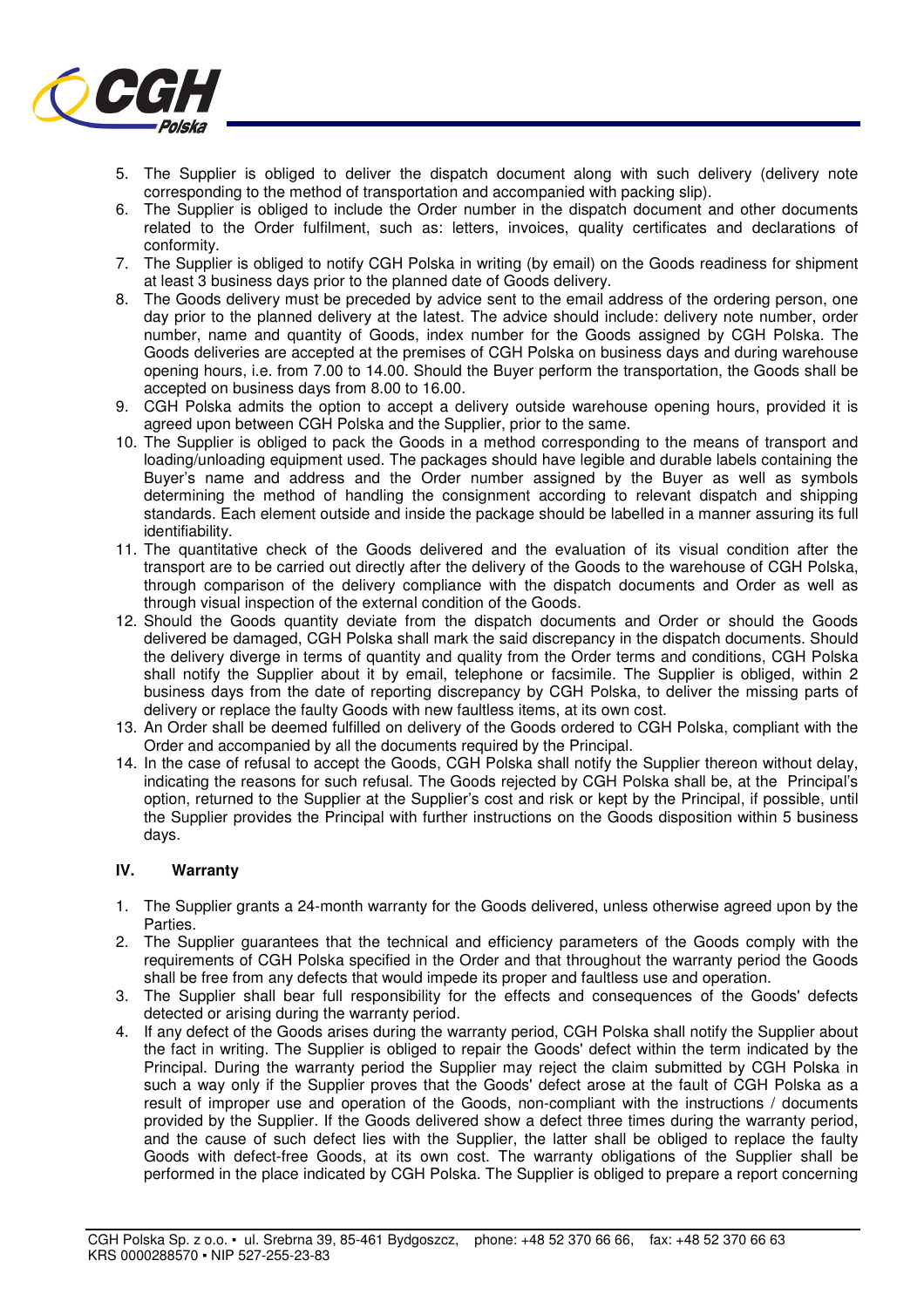

- 5. The Supplier is obliged to deliver the dispatch document along with such delivery (delivery note corresponding to the method of transportation and accompanied with packing slip).
- 6. The Supplier is obliged to include the Order number in the dispatch document and other documents related to the Order fulfilment, such as: letters, invoices, quality certificates and declarations of conformity.
- 7. The Supplier is obliged to notify CGH Polska in writing (by email) on the Goods readiness for shipment at least 3 business days prior to the planned date of Goods delivery.
- 8. The Goods delivery must be preceded by advice sent to the email address of the ordering person, one day prior to the planned delivery at the latest. The advice should include: delivery note number, order number, name and quantity of Goods, index number for the Goods assigned by CGH Polska. The Goods deliveries are accepted at the premises of CGH Polska on business days and during warehouse opening hours, i.e. from 7.00 to 14.00. Should the Buyer perform the transportation, the Goods shall be accepted on business days from 8.00 to 16.00.
- 9. CGH Polska admits the option to accept a delivery outside warehouse opening hours, provided it is agreed upon between CGH Polska and the Supplier, prior to the same.
- 10. The Supplier is obliged to pack the Goods in a method corresponding to the means of transport and loading/unloading equipment used. The packages should have legible and durable labels containing the Buyer's name and address and the Order number assigned by the Buyer as well as symbols determining the method of handling the consignment according to relevant dispatch and shipping standards. Each element outside and inside the package should be labelled in a manner assuring its full identifiability.
- 11. The quantitative check of the Goods delivered and the evaluation of its visual condition after the transport are to be carried out directly after the delivery of the Goods to the warehouse of CGH Polska, through comparison of the delivery compliance with the dispatch documents and Order as well as through visual inspection of the external condition of the Goods.
- 12. Should the Goods quantity deviate from the dispatch documents and Order or should the Goods delivered be damaged, CGH Polska shall mark the said discrepancy in the dispatch documents. Should the delivery diverge in terms of quantity and quality from the Order terms and conditions, CGH Polska shall notify the Supplier about it by email, telephone or facsimile. The Supplier is obliged, within 2 business days from the date of reporting discrepancy by CGH Polska, to deliver the missing parts of delivery or replace the faulty Goods with new faultless items, at its own cost.
- 13. An Order shall be deemed fulfilled on delivery of the Goods ordered to CGH Polska, compliant with the Order and accompanied by all the documents required by the Principal.
- 14. In the case of refusal to accept the Goods, CGH Polska shall notify the Supplier thereon without delay, indicating the reasons for such refusal. The Goods rejected by CGH Polska shall be, at the Principal's option, returned to the Supplier at the Supplier's cost and risk or kept by the Principal, if possible, until the Supplier provides the Principal with further instructions on the Goods disposition within 5 business days.

## **IV. Warranty**

- 1. The Supplier grants a 24-month warranty for the Goods delivered, unless otherwise agreed upon by the **Parties**
- 2. The Supplier guarantees that the technical and efficiency parameters of the Goods comply with the requirements of CGH Polska specified in the Order and that throughout the warranty period the Goods shall be free from any defects that would impede its proper and faultless use and operation.
- 3. The Supplier shall bear full responsibility for the effects and consequences of the Goods' defects detected or arising during the warranty period.
- 4. If any defect of the Goods arises during the warranty period, CGH Polska shall notify the Supplier about the fact in writing. The Supplier is obliged to repair the Goods' defect within the term indicated by the Principal. During the warranty period the Supplier may reject the claim submitted by CGH Polska in such a way only if the Supplier proves that the Goods' defect arose at the fault of CGH Polska as a result of improper use and operation of the Goods, non-compliant with the instructions / documents provided by the Supplier. If the Goods delivered show a defect three times during the warranty period, and the cause of such defect lies with the Supplier, the latter shall be obliged to replace the faulty Goods with defect-free Goods, at its own cost. The warranty obligations of the Supplier shall be performed in the place indicated by CGH Polska. The Supplier is obliged to prepare a report concerning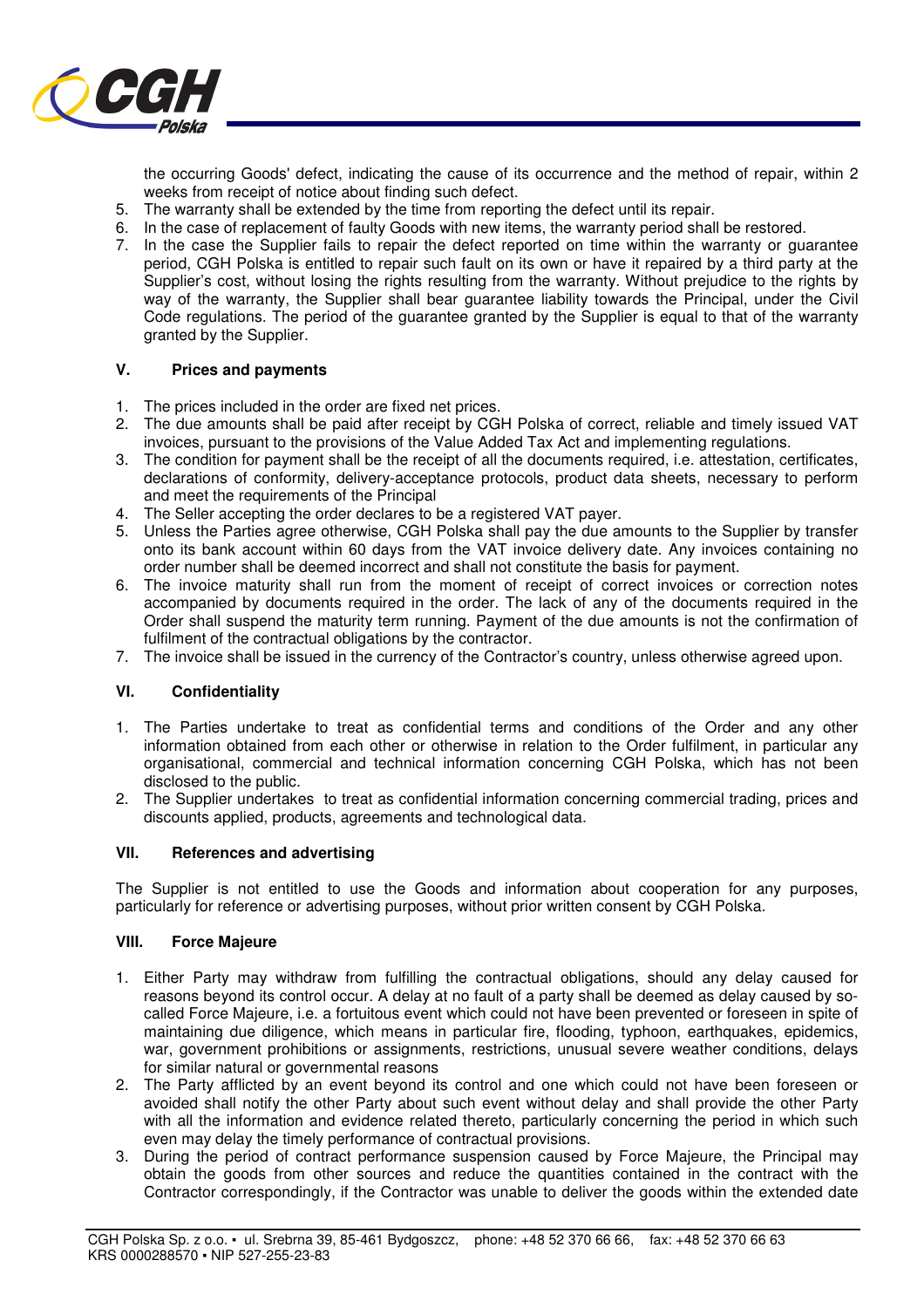

the occurring Goods' defect, indicating the cause of its occurrence and the method of repair, within 2 weeks from receipt of notice about finding such defect.

- 5. The warranty shall be extended by the time from reporting the defect until its repair.
- 6. In the case of replacement of faulty Goods with new items, the warranty period shall be restored.
- 7. In the case the Supplier fails to repair the defect reported on time within the warranty or guarantee period, CGH Polska is entitled to repair such fault on its own or have it repaired by a third party at the Supplier's cost, without losing the rights resulting from the warranty. Without prejudice to the rights by way of the warranty, the Supplier shall bear guarantee liability towards the Principal, under the Civil Code regulations. The period of the guarantee granted by the Supplier is equal to that of the warranty granted by the Supplier.

### **V. Prices and payments**

- 1. The prices included in the order are fixed net prices.
- 2. The due amounts shall be paid after receipt by CGH Polska of correct, reliable and timely issued VAT invoices, pursuant to the provisions of the Value Added Tax Act and implementing regulations.
- 3. The condition for payment shall be the receipt of all the documents required, i.e. attestation, certificates, declarations of conformity, delivery-acceptance protocols, product data sheets, necessary to perform and meet the requirements of the Principal
- 4. The Seller accepting the order declares to be a registered VAT payer.
- 5. Unless the Parties agree otherwise, CGH Polska shall pay the due amounts to the Supplier by transfer onto its bank account within 60 days from the VAT invoice delivery date. Any invoices containing no order number shall be deemed incorrect and shall not constitute the basis for payment.
- 6. The invoice maturity shall run from the moment of receipt of correct invoices or correction notes accompanied by documents required in the order. The lack of any of the documents required in the Order shall suspend the maturity term running. Payment of the due amounts is not the confirmation of fulfilment of the contractual obligations by the contractor.
- 7. The invoice shall be issued in the currency of the Contractor's country, unless otherwise agreed upon.

### **VI. Confidentiality**

- 1. The Parties undertake to treat as confidential terms and conditions of the Order and any other information obtained from each other or otherwise in relation to the Order fulfilment, in particular any organisational, commercial and technical information concerning CGH Polska, which has not been disclosed to the public.
- 2. The Supplier undertakes to treat as confidential information concerning commercial trading, prices and discounts applied, products, agreements and technological data.

### **VII. References and advertising**

The Supplier is not entitled to use the Goods and information about cooperation for any purposes, particularly for reference or advertising purposes, without prior written consent by CGH Polska.

#### **VIII. Force Majeure**

- 1. Either Party may withdraw from fulfilling the contractual obligations, should any delay caused for reasons beyond its control occur. A delay at no fault of a party shall be deemed as delay caused by socalled Force Majeure, i.e. a fortuitous event which could not have been prevented or foreseen in spite of maintaining due diligence, which means in particular fire, flooding, typhoon, earthquakes, epidemics, war, government prohibitions or assignments, restrictions, unusual severe weather conditions, delays for similar natural or governmental reasons
- 2. The Party afflicted by an event beyond its control and one which could not have been foreseen or avoided shall notify the other Party about such event without delay and shall provide the other Party with all the information and evidence related thereto, particularly concerning the period in which such even may delay the timely performance of contractual provisions.
- 3. During the period of contract performance suspension caused by Force Majeure, the Principal may obtain the goods from other sources and reduce the quantities contained in the contract with the Contractor correspondingly, if the Contractor was unable to deliver the goods within the extended date